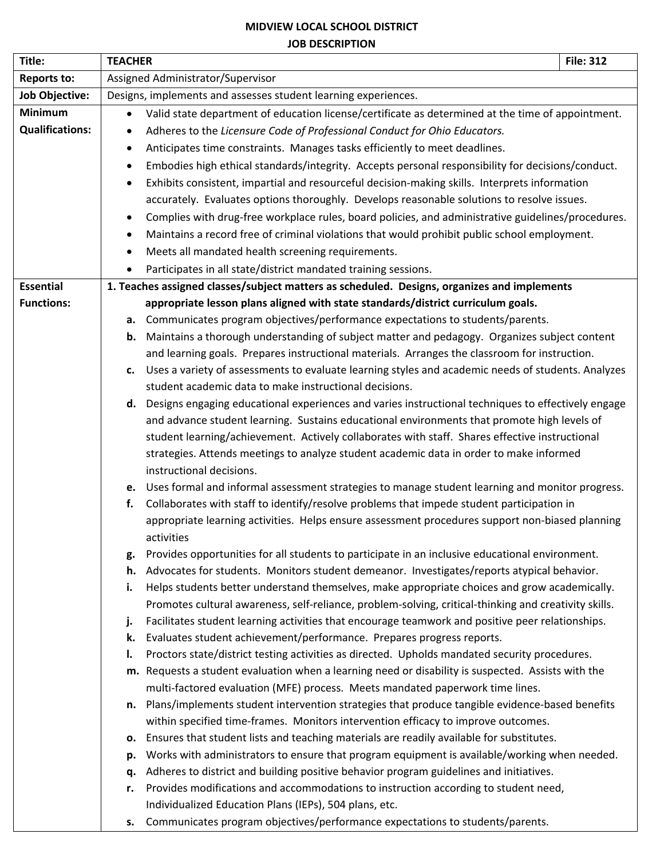### **MIDVIEW LOCAL SCHOOL DISTRICT JOB DESCRIPTION**

| Title:                 | <b>TEACHER</b>                                                                                                 | <b>File: 312</b> |  |  |  |
|------------------------|----------------------------------------------------------------------------------------------------------------|------------------|--|--|--|
| <b>Reports to:</b>     | Assigned Administrator/Supervisor                                                                              |                  |  |  |  |
| <b>Job Objective:</b>  | Designs, implements and assesses student learning experiences.                                                 |                  |  |  |  |
| Minimum                | Valid state department of education license/certificate as determined at the time of appointment.<br>$\bullet$ |                  |  |  |  |
| <b>Qualifications:</b> | Adheres to the Licensure Code of Professional Conduct for Ohio Educators.<br>٠                                 |                  |  |  |  |
|                        | Anticipates time constraints. Manages tasks efficiently to meet deadlines.                                     |                  |  |  |  |
|                        | Embodies high ethical standards/integrity. Accepts personal responsibility for decisions/conduct.<br>$\bullet$ |                  |  |  |  |
|                        | Exhibits consistent, impartial and resourceful decision-making skills. Interprets information<br>$\bullet$     |                  |  |  |  |
|                        | accurately. Evaluates options thoroughly. Develops reasonable solutions to resolve issues.                     |                  |  |  |  |
|                        | Complies with drug-free workplace rules, board policies, and administrative guidelines/procedures.             |                  |  |  |  |
|                        | Maintains a record free of criminal violations that would prohibit public school employment.                   |                  |  |  |  |
|                        | Meets all mandated health screening requirements.<br>$\bullet$                                                 |                  |  |  |  |
|                        | Participates in all state/district mandated training sessions.<br>$\bullet$                                    |                  |  |  |  |
| <b>Essential</b>       | 1. Teaches assigned classes/subject matters as scheduled. Designs, organizes and implements                    |                  |  |  |  |
| <b>Functions:</b>      | appropriate lesson plans aligned with state standards/district curriculum goals.                               |                  |  |  |  |
|                        | a. Communicates program objectives/performance expectations to students/parents.                               |                  |  |  |  |
|                        | Maintains a thorough understanding of subject matter and pedagogy. Organizes subject content<br>b.             |                  |  |  |  |
|                        | and learning goals. Prepares instructional materials. Arranges the classroom for instruction.                  |                  |  |  |  |
|                        | Uses a variety of assessments to evaluate learning styles and academic needs of students. Analyzes<br>c.       |                  |  |  |  |
|                        | student academic data to make instructional decisions.                                                         |                  |  |  |  |
|                        | d. Designs engaging educational experiences and varies instructional techniques to effectively engage          |                  |  |  |  |
|                        | and advance student learning. Sustains educational environments that promote high levels of                    |                  |  |  |  |
|                        | student learning/achievement. Actively collaborates with staff. Shares effective instructional                 |                  |  |  |  |
|                        | strategies. Attends meetings to analyze student academic data in order to make informed                        |                  |  |  |  |
|                        | instructional decisions.                                                                                       |                  |  |  |  |
|                        | e. Uses formal and informal assessment strategies to manage student learning and monitor progress.             |                  |  |  |  |
|                        | Collaborates with staff to identify/resolve problems that impede student participation in<br>f.                |                  |  |  |  |
|                        | appropriate learning activities. Helps ensure assessment procedures support non-biased planning<br>activities  |                  |  |  |  |
|                        | Provides opportunities for all students to participate in an inclusive educational environment.<br>g.          |                  |  |  |  |
|                        | Advocates for students. Monitors student demeanor. Investigates/reports atypical behavior.<br>h.               |                  |  |  |  |
|                        | Helps students better understand themselves, make appropriate choices and grow academically.<br>i.             |                  |  |  |  |
|                        | Promotes cultural awareness, self-reliance, problem-solving, critical-thinking and creativity skills.          |                  |  |  |  |
|                        | Facilitates student learning activities that encourage teamwork and positive peer relationships.<br>j.         |                  |  |  |  |
|                        | Evaluates student achievement/performance. Prepares progress reports.<br>k.                                    |                  |  |  |  |
|                        | Proctors state/district testing activities as directed. Upholds mandated security procedures.<br>Ι.            |                  |  |  |  |
|                        | m. Requests a student evaluation when a learning need or disability is suspected. Assists with the             |                  |  |  |  |
|                        | multi-factored evaluation (MFE) process. Meets mandated paperwork time lines.                                  |                  |  |  |  |
|                        | n. Plans/implements student intervention strategies that produce tangible evidence-based benefits              |                  |  |  |  |
|                        | within specified time-frames. Monitors intervention efficacy to improve outcomes.                              |                  |  |  |  |
|                        | Ensures that student lists and teaching materials are readily available for substitutes.<br>о.                 |                  |  |  |  |
|                        | Works with administrators to ensure that program equipment is available/working when needed.<br>p.             |                  |  |  |  |
|                        | Adheres to district and building positive behavior program guidelines and initiatives.<br>q.                   |                  |  |  |  |
|                        | Provides modifications and accommodations to instruction according to student need,<br>r.                      |                  |  |  |  |
|                        | Individualized Education Plans (IEPs), 504 plans, etc.                                                         |                  |  |  |  |
|                        | Communicates program objectives/performance expectations to students/parents.<br>s.                            |                  |  |  |  |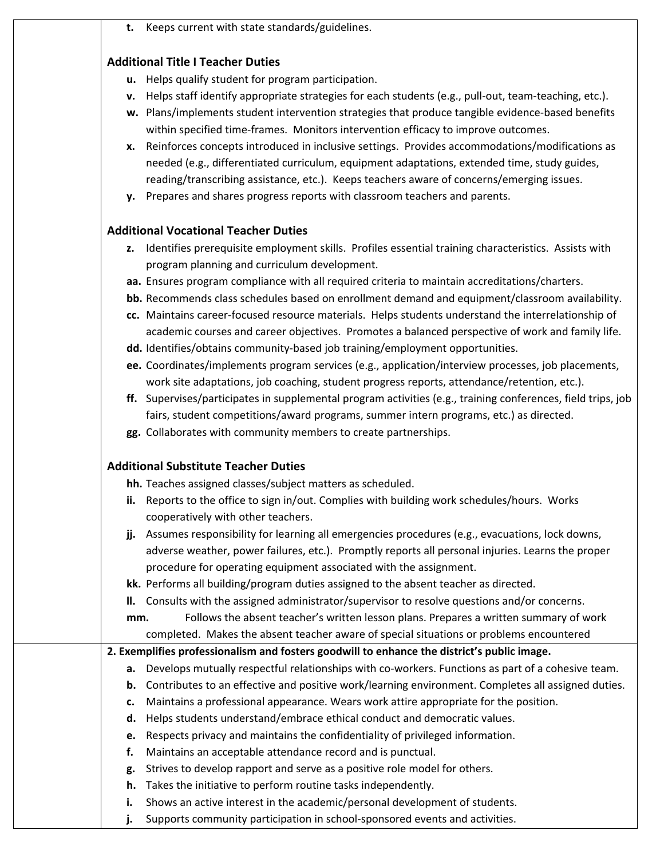|  | Keeps current with state standards/guidelines. |
|--|------------------------------------------------|
|--|------------------------------------------------|

# **Additional Title I Teacher Duties**

- **u.** Helps qualify student for program participation.
- **v.** Helps staff identify appropriate strategies for each students (e.g., pull-out, team-teaching, etc.).
- **w.** Plans/implements student intervention strategies that produce tangible evidence-based benefits within specified time-frames. Monitors intervention efficacy to improve outcomes.
- **x.** Reinforces concepts introduced in inclusive settings. Provides accommodations/modifications as needed (e.g., differentiated curriculum, equipment adaptations, extended time, study guides, reading/transcribing assistance, etc.). Keeps teachers aware of concerns/emerging issues.
- **y.** Prepares and shares progress reports with classroom teachers and parents.

# **Additional Vocational Teacher Duties**

- **z.** Identifies prerequisite employment skills. Profiles essential training characteristics. Assists with program planning and curriculum development.
- **aa.** Ensures program compliance with all required criteria to maintain accreditations/charters.
- **bb.** Recommends class schedules based on enrollment demand and equipment/classroom availability.
- **cc.** Maintains career-focused resource materials. Helps students understand the interrelationship of academic courses and career objectives. Promotes a balanced perspective of work and family life.
- **dd.** Identifies/obtains community-based job training/employment opportunities.
- **ee.** Coordinates/implements program services (e.g., application/interview processes, job placements, work site adaptations, job coaching, student progress reports, attendance/retention, etc.).
- **ff.** Supervises/participates in supplemental program activities (e.g., training conferences, field trips, job fairs, student competitions/award programs, summer intern programs, etc.) as directed.
- **gg.** Collaborates with community members to create partnerships.

# **Additional Substitute Teacher Duties**

**hh.** Teaches assigned classes/subject matters as scheduled.

- **ii.** Reports to the office to sign in/out. Complies with building work schedules/hours. Works cooperatively with other teachers.
- **jj.** Assumes responsibility for learning all emergencies procedures (e.g., evacuations, lock downs, adverse weather, power failures, etc.). Promptly reports all personal injuries. Learns the proper procedure for operating equipment associated with the assignment.
- **kk.** Performs all building/program duties assigned to the absent teacher as directed.
- **ll.** Consults with the assigned administrator/supervisor to resolve questions and/or concerns.

**mm.** Follows the absent teacher's written lesson plans. Prepares a written summary of work completed. Makes the absent teacher aware of special situations or problems encountered

### **2. Exemplifies professionalism and fosters goodwill to enhance the district's public image.**

- **a.** Develops mutually respectful relationships with co-workers. Functions as part of a cohesive team.
- **b.** Contributes to an effective and positive work/learning environment. Completes all assigned duties.
- **c.** Maintains a professional appearance. Wears work attire appropriate for the position.
- **d.** Helps students understand/embrace ethical conduct and democratic values.
- **e.** Respects privacy and maintains the confidentiality of privileged information.
- **f.** Maintains an acceptable attendance record and is punctual.
- **g.** Strives to develop rapport and serve as a positive role model for others.
- **h.** Takes the initiative to perform routine tasks independently.
- **i.** Shows an active interest in the academic/personal development of students.
- **j.** Supports community participation in school-sponsored events and activities.